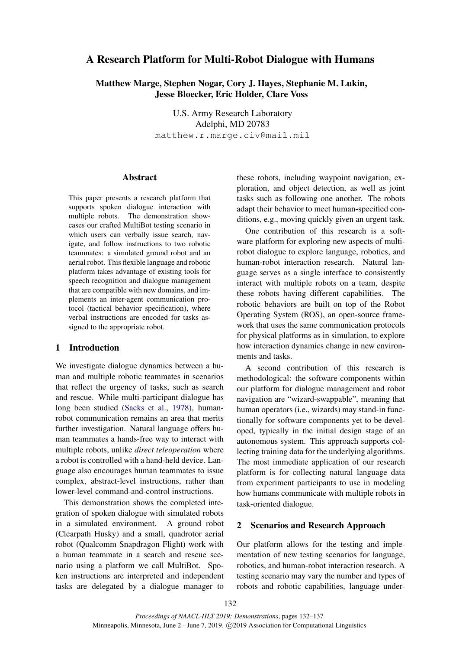# A Research Platform for Multi-Robot Dialogue with Humans

Matthew Marge, Stephen Nogar, Cory J. Hayes, Stephanie M. Lukin, Jesse Bloecker, Eric Holder, Clare Voss

> U.S. Army Research Laboratory Adelphi, MD 20783 matthew.r.marge.civ@mail.mil

### **Abstract**

This paper presents a research platform that supports spoken dialogue interaction with multiple robots. The demonstration showcases our crafted MultiBot testing scenario in which users can verbally issue search, navigate, and follow instructions to two robotic teammates: a simulated ground robot and an aerial robot. This flexible language and robotic platform takes advantage of existing tools for speech recognition and dialogue management that are compatible with new domains, and implements an inter-agent communication protocol (tactical behavior specification), where verbal instructions are encoded for tasks assigned to the appropriate robot.

## 1 Introduction

We investigate dialogue dynamics between a human and multiple robotic teammates in scenarios that reflect the urgency of tasks, such as search and rescue. While multi-participant dialogue has long been studied [\(Sacks et al.,](#page-5-0) [1978\)](#page-5-0), humanrobot communication remains an area that merits further investigation. Natural language offers human teammates a hands-free way to interact with multiple robots, unlike *direct teleoperation* where a robot is controlled with a hand-held device. Language also encourages human teammates to issue complex, abstract-level instructions, rather than lower-level command-and-control instructions.

This demonstration shows the completed integration of spoken dialogue with simulated robots in a simulated environment. A ground robot (Clearpath Husky) and a small, quadrotor aerial robot (Qualcomm Snapdragon Flight) work with a human teammate in a search and rescue scenario using a platform we call MultiBot. Spoken instructions are interpreted and independent tasks are delegated by a dialogue manager to

these robots, including waypoint navigation, exploration, and object detection, as well as joint tasks such as following one another. The robots adapt their behavior to meet human-specified conditions, e.g., moving quickly given an urgent task.

One contribution of this research is a software platform for exploring new aspects of multirobot dialogue to explore language, robotics, and human-robot interaction research. Natural language serves as a single interface to consistently interact with multiple robots on a team, despite these robots having different capabilities. The robotic behaviors are built on top of the Robot Operating System (ROS), an open-source framework that uses the same communication protocols for physical platforms as in simulation, to explore how interaction dynamics change in new environments and tasks.

A second contribution of this research is methodological: the software components within our platform for dialogue management and robot navigation are "wizard-swappable", meaning that human operators (i.e., wizards) may stand-in functionally for software components yet to be developed, typically in the initial design stage of an autonomous system. This approach supports collecting training data for the underlying algorithms. The most immediate application of our research platform is for collecting natural language data from experiment participants to use in modeling how humans communicate with multiple robots in task-oriented dialogue.

#### 2 Scenarios and Research Approach

Our platform allows for the testing and implementation of new testing scenarios for language, robotics, and human-robot interaction research. A testing scenario may vary the number and types of robots and robotic capabilities, language under-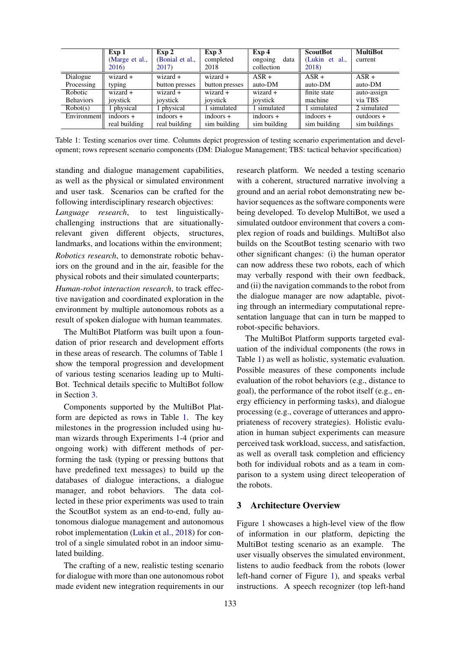<span id="page-1-0"></span>

|                  | Exp 1          | Exp 2           | Exp 3                        | Exp <sub>4</sub> | <b>ScoutBot</b> | <b>MultiBot</b>          |
|------------------|----------------|-----------------|------------------------------|------------------|-----------------|--------------------------|
|                  | (Marge et al., | (Bonial et al., | completed                    | data<br>ongoing  | (Lukin et al.,  | current                  |
|                  | 2016)          | 2017)           | 2018                         | collection       | 2018)           |                          |
| Dialogue         | $wizard +$     | $wizard +$      | $wizard +$                   | $ASR +$          | $ASR +$         | $ASR +$                  |
| Processing       | typing         | button presses  | button presses               | auto-DM          | auto-DM         | auto-DM                  |
| Robotic          | $wizard +$     | $wizard +$      | $wizard +$                   | $wizard +$       | finite state    | auto-assign              |
| <b>Behaviors</b> | joystick       | joystick        | joystick                     | joystick         | machine         | via TBS                  |
| Robot(s)         | 1 physical     | physical        | 1 simulated                  | I simulated      | 1 simulated     | $\overline{2}$ simulated |
| Eivironment      | $indoors +$    | $indoors +$     | $\frac{1}{\text{indoors}} +$ | $indoors +$      | $indoors +$     | $out doors +$            |
|                  | real building  | real building   | sim building                 | sim building     | sim building    | sim buildings            |

Table 1: Testing scenarios over time. Columns depict progression of testing scenario experimentation and development; rows represent scenario components (DM: Dialogue Management; TBS: tactical behavior specification)

standing and dialogue management capabilities, as well as the physical or simulated environment and user task. Scenarios can be crafted for the following interdisciplinary research objectives:

*Language research*, to test linguisticallychallenging instructions that are situationallyrelevant given different objects, structures, landmarks, and locations within the environment; *Robotics research*, to demonstrate robotic behaviors on the ground and in the air, feasible for the physical robots and their simulated counterparts;

*Human-robot interaction research*, to track effective navigation and coordinated exploration in the environment by multiple autonomous robots as a result of spoken dialogue with human teammates.

The MultiBot Platform was built upon a foundation of prior research and development efforts in these areas of research. The columns of Table [1](#page-1-0) show the temporal progression and development of various testing scenarios leading up to Multi-Bot. Technical details specific to MultiBot follow in Section [3.](#page-1-1)

Components supported by the MultiBot Platform are depicted as rows in Table [1.](#page-1-0) The key milestones in the progression included using human wizards through Experiments 1-4 (prior and ongoing work) with different methods of performing the task (typing or pressing buttons that have predefined text messages) to build up the databases of dialogue interactions, a dialogue manager, and robot behaviors. The data collected in these prior experiments was used to train the ScoutBot system as an end-to-end, fully autonomous dialogue management and autonomous robot implementation [\(Lukin et al.,](#page-4-2) [2018\)](#page-4-2) for control of a single simulated robot in an indoor simulated building.

The crafting of a new, realistic testing scenario for dialogue with more than one autonomous robot made evident new integration requirements in our

research platform. We needed a testing scenario with a coherent, structured narrative involving a ground and an aerial robot demonstrating new behavior sequences as the software components were being developed. To develop MultiBot, we used a simulated outdoor environment that covers a complex region of roads and buildings. MultiBot also builds on the ScoutBot testing scenario with two other significant changes: (i) the human operator can now address these two robots, each of which may verbally respond with their own feedback, and (ii) the navigation commands to the robot from the dialogue manager are now adaptable, pivoting through an intermediary computational representation language that can in turn be mapped to robot-specific behaviors.

The MultiBot Platform supports targeted evaluation of the individual components (the rows in Table [1\)](#page-1-0) as well as holistic, systematic evaluation. Possible measures of these components include evaluation of the robot behaviors (e.g., distance to goal), the performance of the robot itself (e.g., energy efficiency in performing tasks), and dialogue processing (e.g., coverage of utterances and appropriateness of recovery strategies). Holistic evaluation in human subject experiments can measure perceived task workload, success, and satisfaction, as well as overall task completion and efficiency both for individual robots and as a team in comparison to a system using direct teleoperation of the robots.

## <span id="page-1-1"></span>3 Architecture Overview

Figure [1](#page-2-0) showcases a high-level view of the flow of information in our platform, depicting the MultiBot testing scenario as an example. The user visually observes the simulated environment, listens to audio feedback from the robots (lower left-hand corner of Figure [1\)](#page-2-0), and speaks verbal instructions. A speech recognizer (top left-hand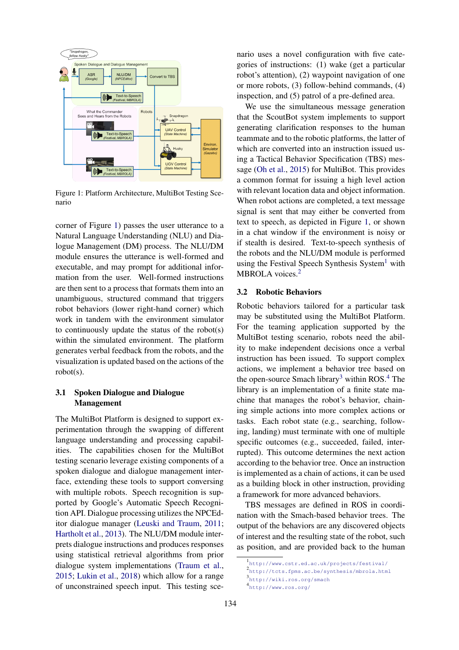<span id="page-2-0"></span>

Figure 1: Platform Architecture, MultiBot Testing Scenario

corner of Figure [1\)](#page-2-0) passes the user utterance to a Natural Language Understanding (NLU) and Dialogue Management (DM) process. The NLU/DM module ensures the utterance is well-formed and executable, and may prompt for additional information from the user. Well-formed instructions are then sent to a process that formats them into an unambiguous, structured command that triggers robot behaviors (lower right-hand corner) which work in tandem with the environment simulator to continuously update the status of the robot(s) within the simulated environment. The platform generates verbal feedback from the robots, and the visualization is updated based on the actions of the robot(s).

## 3.1 Spoken Dialogue and Dialogue Management

The MultiBot Platform is designed to support experimentation through the swapping of different language understanding and processing capabilities. The capabilities chosen for the MultiBot testing scenario leverage existing components of a spoken dialogue and dialogue management interface, extending these tools to support conversing with multiple robots. Speech recognition is supported by Google's Automatic Speech Recognition API. Dialogue processing utilizes the NPCEditor dialogue manager [\(Leuski and Traum,](#page-4-3) [2011;](#page-4-3) [Hartholt et al.,](#page-4-4) [2013\)](#page-4-4). The NLU/DM module interprets dialogue instructions and produces responses using statistical retrieval algorithms from prior dialogue system implementations [\(Traum et al.,](#page-5-1) [2015;](#page-5-1) [Lukin et al.,](#page-4-2) [2018\)](#page-4-2) which allow for a range of unconstrained speech input. This testing scenario uses a novel configuration with five categories of instructions: (1) wake (get a particular robot's attention), (2) waypoint navigation of one or more robots, (3) follow-behind commands, (4) inspection, and (5) patrol of a pre-defined area.

We use the simultaneous message generation that the ScoutBot system implements to support generating clarification responses to the human teammate and to the robotic platforms, the latter of which are converted into an instruction issued using a Tactical Behavior Specification (TBS) message [\(Oh et al.,](#page-5-2) [2015\)](#page-5-2) for MultiBot. This provides a common format for issuing a high level action with relevant location data and object information. When robot actions are completed, a text message signal is sent that may either be converted from text to speech, as depicted in Figure [1,](#page-2-0) or shown in a chat window if the environment is noisy or if stealth is desired. Text-to-speech synthesis of the robots and the NLU/DM module is performed using the Festival Speech Synthesis System<sup>[1](#page-2-1)</sup> with MBROLA voices.<sup>[2](#page-2-2)</sup>

#### 3.2 Robotic Behaviors

Robotic behaviors tailored for a particular task may be substituted using the MultiBot Platform. For the teaming application supported by the MultiBot testing scenario, robots need the ability to make independent decisions once a verbal instruction has been issued. To support complex actions, we implement a behavior tree based on the open-source Smach library<sup>[3](#page-2-3)</sup> within ROS.<sup>[4](#page-2-4)</sup> The library is an implementation of a finite state machine that manages the robot's behavior, chaining simple actions into more complex actions or tasks. Each robot state (e.g., searching, following, landing) must terminate with one of multiple specific outcomes (e.g., succeeded, failed, interrupted). This outcome determines the next action according to the behavior tree. Once an instruction is implemented as a chain of actions, it can be used as a building block in other instruction, providing a framework for more advanced behaviors.

TBS messages are defined in ROS in coordination with the Smach-based behavior trees. The output of the behaviors are any discovered objects of interest and the resulting state of the robot, such as position, and are provided back to the human

<span id="page-2-4"></span><span id="page-2-3"></span><span id="page-2-2"></span><span id="page-2-1"></span><sup>1</sup> <http://www.cstr.ed.ac.uk/projects/festival/> 2 <http://tcts.fpms.ac.be/synthesis/mbrola.html> 3 <http://wiki.ros.org/smach> 4 <http://www.ros.org/>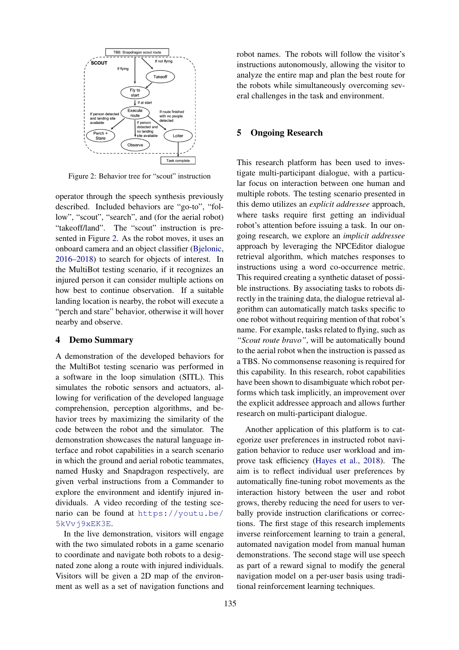<span id="page-3-0"></span>

Figure 2: Behavior tree for "scout" instruction

operator through the speech synthesis previously described. Included behaviors are "go-to", "follow", "scout", "search", and (for the aerial robot) "takeoff/land". The "scout" instruction is presented in Figure [2.](#page-3-0) As the robot moves, it uses an onboard camera and an object classifier [\(Bjelonic,](#page-4-5) [2016–2018\)](#page-4-5) to search for objects of interest. In the MultiBot testing scenario, if it recognizes an injured person it can consider multiple actions on how best to continue observation. If a suitable landing location is nearby, the robot will execute a "perch and stare" behavior, otherwise it will hover nearby and observe.

#### 4 Demo Summary

A demonstration of the developed behaviors for the MultiBot testing scenario was performed in a software in the loop simulation (SITL). This simulates the robotic sensors and actuators, allowing for verification of the developed language comprehension, perception algorithms, and behavior trees by maximizing the similarity of the code between the robot and the simulator. The demonstration showcases the natural language interface and robot capabilities in a search scenario in which the ground and aerial robotic teammates, named Husky and Snapdragon respectively, are given verbal instructions from a Commander to explore the environment and identify injured individuals. A video recording of the testing scenario can be found at [https://youtu.be/](https://youtu.be/5kVvj9xEK3E) [5kVvj9xEK3E](https://youtu.be/5kVvj9xEK3E).

In the live demonstration, visitors will engage with the two simulated robots in a game scenario to coordinate and navigate both robots to a designated zone along a route with injured individuals. Visitors will be given a 2D map of the environment as well as a set of navigation functions and

robot names. The robots will follow the visitor's instructions autonomously, allowing the visitor to analyze the entire map and plan the best route for the robots while simultaneously overcoming several challenges in the task and environment.

## 5 Ongoing Research

This research platform has been used to investigate multi-participant dialogue, with a particular focus on interaction between one human and multiple robots. The testing scenario presented in this demo utilizes an *explicit addressee* approach, where tasks require first getting an individual robot's attention before issuing a task. In our ongoing research, we explore an *implicit addressee* approach by leveraging the NPCEditor dialogue retrieval algorithm, which matches responses to instructions using a word co-occurrence metric. This required creating a synthetic dataset of possible instructions. By associating tasks to robots directly in the training data, the dialogue retrieval algorithm can automatically match tasks specific to one robot without requiring mention of that robot's name. For example, tasks related to flying, such as *"Scout route bravo"*, will be automatically bound to the aerial robot when the instruction is passed as a TBS. No commonsense reasoning is required for this capability. In this research, robot capabilities have been shown to disambiguate which robot performs which task implicitly, an improvement over the explicit addressee approach and allows further research on multi-participant dialogue.

Another application of this platform is to categorize user preferences in instructed robot navigation behavior to reduce user workload and improve task efficiency [\(Hayes et al.,](#page-4-6) [2018\)](#page-4-6). The aim is to reflect individual user preferences by automatically fine-tuning robot movements as the interaction history between the user and robot grows, thereby reducing the need for users to verbally provide instruction clarifications or corrections. The first stage of this research implements inverse reinforcement learning to train a general, automated navigation model from manual human demonstrations. The second stage will use speech as part of a reward signal to modify the general navigation model on a per-user basis using traditional reinforcement learning techniques.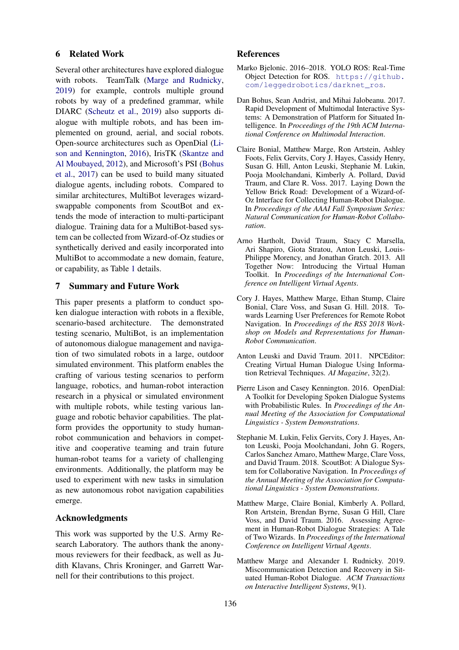### 6 Related Work

Several other architectures have explored dialogue with robots. TeamTalk [\(Marge and Rudnicky,](#page-4-7) [2019\)](#page-4-7) for example, controls multiple ground robots by way of a predefined grammar, while DIARC [\(Scheutz et al.,](#page-5-3) [2019\)](#page-5-3) also supports dialogue with multiple robots, and has been implemented on ground, aerial, and social robots. Open-source architectures such as OpenDial [\(Li](#page-4-8)[son and Kennington,](#page-4-8) [2016\)](#page-4-8), IrisTK [\(Skantze and](#page-5-4) [Al Moubayed,](#page-5-4) [2012\)](#page-5-4), and Microsoft's PSI [\(Bohus](#page-4-9) [et al.,](#page-4-9) [2017\)](#page-4-9) can be used to build many situated dialogue agents, including robots. Compared to similar architectures, MultiBot leverages wizardswappable components from ScoutBot and extends the mode of interaction to multi-participant dialogue. Training data for a MultiBot-based system can be collected from Wizard-of-Oz studies or synthetically derived and easily incorporated into MultiBot to accommodate a new domain, feature, or capability, as Table [1](#page-1-0) details.

#### 7 Summary and Future Work

This paper presents a platform to conduct spoken dialogue interaction with robots in a flexible, scenario-based architecture. The demonstrated testing scenario, MultiBot, is an implementation of autonomous dialogue management and navigation of two simulated robots in a large, outdoor simulated environment. This platform enables the crafting of various testing scenarios to perform language, robotics, and human-robot interaction research in a physical or simulated environment with multiple robots, while testing various language and robotic behavior capabilities. The platform provides the opportunity to study humanrobot communication and behaviors in competitive and cooperative teaming and train future human-robot teams for a variety of challenging environments. Additionally, the platform may be used to experiment with new tasks in simulation as new autonomous robot navigation capabilities emerge.

#### Acknowledgments

This work was supported by the U.S. Army Research Laboratory. The authors thank the anonymous reviewers for their feedback, as well as Judith Klavans, Chris Kroninger, and Garrett Warnell for their contributions to this project.

#### References

- <span id="page-4-5"></span>Marko Bjelonic. 2016–2018. YOLO ROS: Real-Time Object Detection for ROS. [https://github.](https://github.com/leggedrobotics/darknet_ros) [com/leggedrobotics/darknet\\_ros](https://github.com/leggedrobotics/darknet_ros).
- <span id="page-4-9"></span>Dan Bohus, Sean Andrist, and Mihai Jalobeanu. 2017. Rapid Development of Multimodal Interactive Systems: A Demonstration of Platform for Situated Intelligence. In *Proceedings of the 19th ACM International Conference on Multimodal Interaction*.
- <span id="page-4-1"></span>Claire Bonial, Matthew Marge, Ron Artstein, Ashley Foots, Felix Gervits, Cory J. Hayes, Cassidy Henry, Susan G. Hill, Anton Leuski, Stephanie M. Lukin, Pooja Moolchandani, Kimberly A. Pollard, David Traum, and Clare R. Voss. 2017. Laying Down the Yellow Brick Road: Development of a Wizard-of-Oz Interface for Collecting Human-Robot Dialogue. In *Proceedings of the AAAI Fall Symposium Series: Natural Communication for Human-Robot Collaboration*.
- <span id="page-4-4"></span>Arno Hartholt, David Traum, Stacy C Marsella, Ari Shapiro, Giota Stratou, Anton Leuski, Louis-Philippe Morency, and Jonathan Gratch. 2013. All Together Now: Introducing the Virtual Human Toolkit. In *Proceedings of the International Conference on Intelligent Virtual Agents*.
- <span id="page-4-6"></span>Cory J. Hayes, Matthew Marge, Ethan Stump, Claire Bonial, Clare Voss, and Susan G. Hill. 2018. Towards Learning User Preferences for Remote Robot Navigation. In *Proceedings of the RSS 2018 Workshop on Models and Representations for Human-Robot Communication*.
- <span id="page-4-3"></span>Anton Leuski and David Traum. 2011. NPCEditor: Creating Virtual Human Dialogue Using Information Retrieval Techniques. *AI Magazine*, 32(2).
- <span id="page-4-8"></span>Pierre Lison and Casey Kennington. 2016. OpenDial: A Toolkit for Developing Spoken Dialogue Systems with Probabilistic Rules. In *Proceedings of the Annual Meeting of the Association for Computational Linguistics - System Demonstrations*.
- <span id="page-4-2"></span>Stephanie M. Lukin, Felix Gervits, Cory J. Hayes, Anton Leuski, Pooja Moolchandani, John G. Rogers, Carlos Sanchez Amaro, Matthew Marge, Clare Voss, and David Traum. 2018. ScoutBot: A Dialogue System for Collaborative Navigation. In *Proceedings of the Annual Meeting of the Association for Computational Linguistics - System Demonstrations*.
- <span id="page-4-0"></span>Matthew Marge, Claire Bonial, Kimberly A. Pollard, Ron Artstein, Brendan Byrne, Susan G Hill, Clare Voss, and David Traum. 2016. Assessing Agreement in Human-Robot Dialogue Strategies: A Tale of Two Wizards. In *Proceedings of the International Conference on Intelligent Virtual Agents*.
- <span id="page-4-7"></span>Matthew Marge and Alexander I. Rudnicky. 2019. Miscommunication Detection and Recovery in Situated Human-Robot Dialogue. *ACM Transactions on Interactive Intelligent Systems*, 9(1).